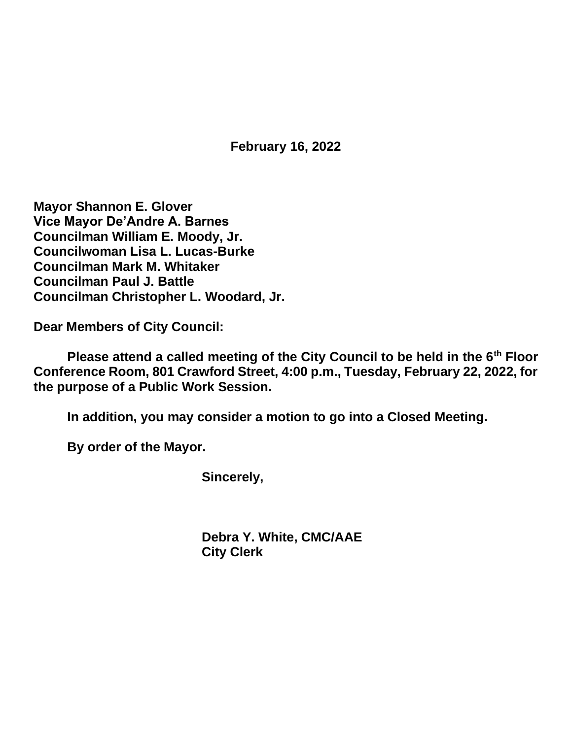**February 16, 2022**

**Mayor Shannon E. Glover Vice Mayor De'Andre A. Barnes Councilman William E. Moody, Jr. Councilwoman Lisa L. Lucas-Burke Councilman Mark M. Whitaker Councilman Paul J. Battle Councilman Christopher L. Woodard, Jr.**

**Dear Members of City Council:**

**Please attend a called meeting of the City Council to be held in the 6th Floor Conference Room, 801 Crawford Street, 4:00 p.m., Tuesday, February 22, 2022, for the purpose of a Public Work Session.**

**In addition, you may consider a motion to go into a Closed Meeting.**

**By order of the Mayor.**

**Sincerely,**

**Debra Y. White, CMC/AAE City Clerk**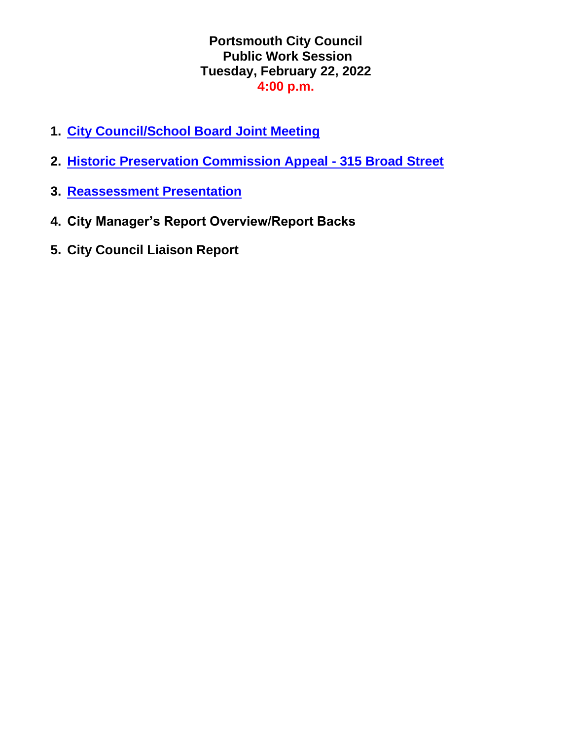#### **Portsmouth City Council Public Work Session Tuesday, February 22, 2022 4:00 p.m.**

- **1. [City Council/School Board Joint Meeting](https://www.portsmouthva.gov/DocumentCenter/View/11989/SEON_2022-23_Joint-City-Council-Presentation_22222-FINAL)**
- **2. [Historic Preservation Commission Appeal -](https://www.portsmouthva.gov/DocumentCenter/View/11961/22-33-HPC-Appeal-315-Broad-Street) 315 Broad Street**
- **3. [Reassessment Presentation](https://www.portsmouthva.gov/DocumentCenter/View/11990/2022-2023-Pre-Assessment-Review-Report)**
- **4. City Manager's Report Overview/Report Backs**
- **5. City Council Liaison Report**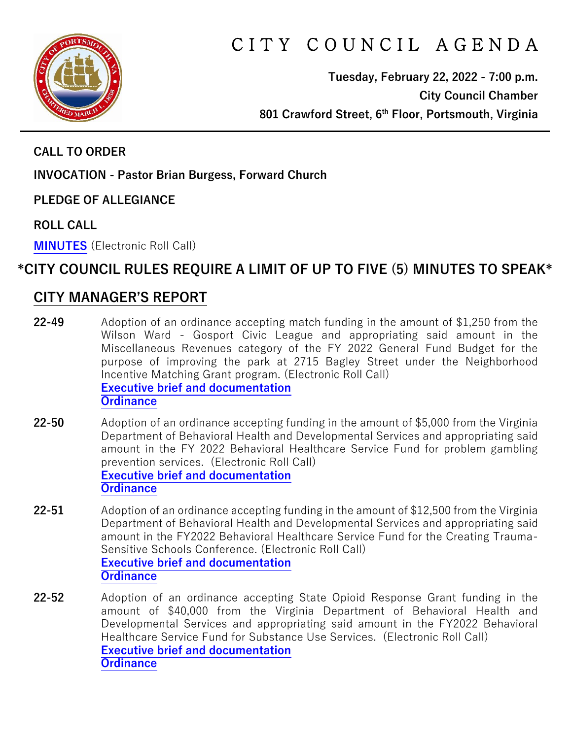

# CITY COUNCIL AGENDA

**Tuesday, February 22, 2022 - 7:00 p.m. City Council Chamber 801 Crawford Street, 6th Floor, Portsmouth, Virginia**

**CALL TO ORDER**

**INVOCATION - Pastor Brian Burgess, Forward Church**

**PLEDGE OF ALLEGIANCE** 

**ROLL CALL**

**[MINUTES](https://www.portsmouthva.gov/DocumentCenter/View/11960/City-Council-Minutes)** (Electronic Roll Call)

## **\*CITY COUNCIL RULES REQUIRE A LIMIT OF UP TO FIVE (5) MINUTES TO SPEAK\***

### **CITY MANAGER'S REPORT**

- **22-49** Adoption of an ordinance accepting match funding in the amount of \$1,250 from the Wilson Ward - Gosport Civic League and appropriating said amount in the Miscellaneous Revenues category of the FY 2022 General Fund Budget for the purpose of improving the park at 2715 Bagley Street under the Neighborhood Incentive Matching Grant program. (Electronic Roll Call) **[Executive brief and documentation](https://www.portsmouthva.gov/DocumentCenter/View/11962/22-49-CMR-and-documentation) [Ordinance](https://www.portsmouthva.gov/DocumentCenter/View/11963/22-49-Ordinance)**
- **22-50** Adoption of an ordinance accepting funding in the amount of \$5,000 from the Virginia Department of Behavioral Health and Developmental Services and appropriating said amount in the FY 2022 Behavioral Healthcare Service Fund for problem gambling prevention services. (Electronic Roll Call) **[Executive brief and documentation](https://www.portsmouthva.gov/DocumentCenter/View/11964/22-50-CMR-and-documentation) [Ordinance](https://www.portsmouthva.gov/DocumentCenter/View/11965/22-50-Ordinance)**
- **22-51** Adoption of an ordinance accepting funding in the amount of \$12,500 from the Virginia Department of Behavioral Health and Developmental Services and appropriating said amount in the FY2022 Behavioral Healthcare Service Fund for the Creating Trauma-Sensitive Schools Conference. (Electronic Roll Call) **[Executive brief and documentation](https://www.portsmouthva.gov/DocumentCenter/View/11966/22-51-CMR-and-documentation) [Ordinance](https://www.portsmouthva.gov/DocumentCenter/View/11967/22-51-Ordinance)**
- **22-52** Adoption of an ordinance accepting State Opioid Response Grant funding in the amount of \$40,000 from the Virginia Department of Behavioral Health and Developmental Services and appropriating said amount in the FY2022 Behavioral Healthcare Service Fund for Substance Use Services. (Electronic Roll Call) **[Executive brief and documentation](https://www.portsmouthva.gov/DocumentCenter/View/11968/22-52-CMR-and-documentation) [Ordinance](https://www.portsmouthva.gov/DocumentCenter/View/11969/22-52-Ordinance)**